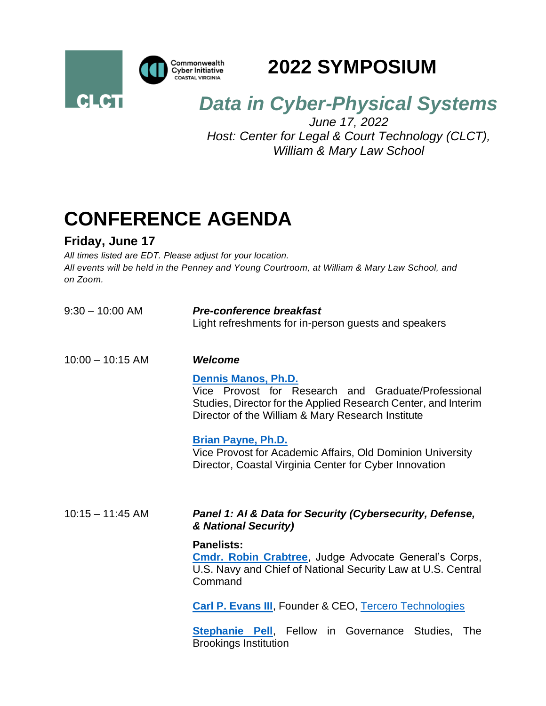

### **2022 SYMPOSIUM**

## *Data in Cyber-Physical Systems*

*June 17, 2022 Host: Center for Legal & Court Technology (CLCT), William & Mary Law School*

# **CONFERENCE AGENDA**

### **Friday, June 17**

*All times listed are EDT. Please adjust for your location. All events will be held in the Penney and Young Courtroom, at William & Mary Law School, and on Zoom.*

| $9:30 - 10:00$ AM  | <b>Pre-conference breakfast</b><br>Light refreshments for in-person guests and speakers                                                                                                                  |
|--------------------|----------------------------------------------------------------------------------------------------------------------------------------------------------------------------------------------------------|
| $10:00 - 10:15$ AM | <b>Welcome</b>                                                                                                                                                                                           |
|                    | <b>Dennis Manos, Ph.D.</b><br>Vice Provost for Research and Graduate/Professional<br>Studies, Director for the Applied Research Center, and Interim<br>Director of the William & Mary Research Institute |
|                    | <b>Brian Payne, Ph.D.</b><br>Vice Provost for Academic Affairs, Old Dominion University<br>Director, Coastal Virginia Center for Cyber Innovation                                                        |
| $10:15 - 11:45$ AM | Panel 1: AI & Data for Security (Cybersecurity, Defense,<br>& National Security)                                                                                                                         |
|                    | <b>Panelists:</b><br><b>Cmdr. Robin Crabtree, Judge Advocate General's Corps,</b><br>U.S. Navy and Chief of National Security Law at U.S. Central<br>Command                                             |
|                    | <b>Carl P. Evans III</b> , Founder & CEO, Tercero Technologies                                                                                                                                           |
|                    | <b>Stephanie Pell, Fellow</b><br>in Governance<br>Studies,<br>The<br><b>Brookings Institution</b>                                                                                                        |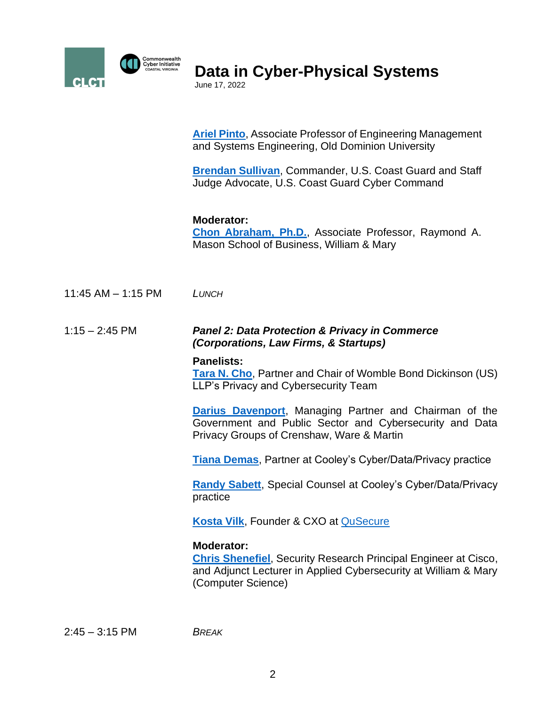

**Data in Cyber-Physical Systems**

June 17, 2022

**[Ariel Pinto](https://www.odu.edu/directory/people/c/cpinto)**, Associate Professor of Engineering Management and Systems Engineering, Old Dominion University

**[Brendan Sullivan](https://www.linkedin.com/in/maritimelaw)**, Commander, U.S. Coast Guard and Staff Judge Advocate, U.S. Coast Guard Cyber Command

### **Moderator:**

**[Chon Abraham, Ph.D.](https://mason.wm.edu/faculty/directory/full-time-faculty/abraham_c.php)**, Associate Professor, Raymond A. Mason School of Business, William & Mary

11:45 AM – 1:15 PM *LUNCH*

#### 1:15 – 2:45 PM *Panel 2: Data Protection & Privacy in Commerce (Corporations, Law Firms, & Startups)*

#### **Panelists:**

**[Tara N. Cho](https://www.womblebonddickinson.com/us/people/tara-n-cho)**, Partner and Chair of Womble Bond Dickinson (US) LLP's Privacy and Cybersecurity Team

**[Darius Davenport](https://www.cwm-law.com/our-legal-team/darius-k-davenport/)**, Managing Partner and Chairman of the Government and Public Sector and Cybersecurity and Data Privacy Groups of Crenshaw, Ware & Martin

**[Tiana Demas](https://www.cooley.com/people/tiana-demas)**, Partner at Cooley's Cyber/Data/Privacy practice

**[Randy Sabett](https://www.cooley.com/people/randy-sabett)**, Special Counsel at Cooley's Cyber/Data/Privacy practice

**[Kosta Vilk](https://www.linkedin.com/in/konstantin-vilk)**, Founder & CXO at [QuSecure](https://www.qusecure.com/)

### **Moderator:**

**[Chris Shenefiel](https://cyberinitiative.org/research/researcher-directory/shenefiel-chris.html)**, Security Research Principal Engineer at Cisco, and Adjunct Lecturer in Applied Cybersecurity at William & Mary (Computer Science)

2:45 – 3:15 PM *BREAK*